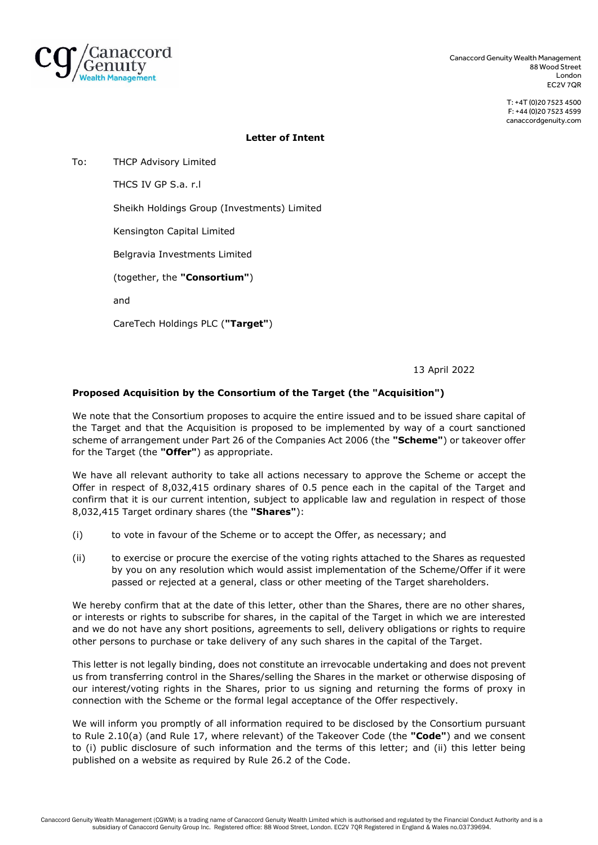

Canaccord Genuity Wealth Management 88 Wood Street London EC2V 7QR

> T: +4T (0)20 7523 4500 F: +44 (0)20 7523 4599 canaccordgenuity.com

## **Letter of Intent**

To: THCP Advisory Limited

THCS IV GP S.a. r.l

Sheikh Holdings Group (Investments) Limited

Kensington Capital Limited

Belgravia Investments Limited

(together, the **"Consortium"**)

and

CareTech Holdings PLC (**"Target"**)

13 April 2022

## **Proposed Acquisition by the Consortium of the Target (the "Acquisition")**

We note that the Consortium proposes to acquire the entire issued and to be issued share capital of the Target and that the Acquisition is proposed to be implemented by way of a court sanctioned scheme of arrangement under Part 26 of the Companies Act 2006 (the **"Scheme"**) or takeover offer for the Target (the **"Offer"**) as appropriate.

We have all relevant authority to take all actions necessary to approve the Scheme or accept the Offer in respect of 8,032,415 ordinary shares of 0.5 pence each in the capital of the Target and confirm that it is our current intention, subject to applicable law and regulation in respect of those 8,032,415 Target ordinary shares (the **"Shares"**):

- (i) to vote in favour of the Scheme or to accept the Offer, as necessary; and
- (ii) to exercise or procure the exercise of the voting rights attached to the Shares as requested by you on any resolution which would assist implementation of the Scheme/Offer if it were passed or rejected at a general, class or other meeting of the Target shareholders.

We hereby confirm that at the date of this letter, other than the Shares, there are no other shares, or interests or rights to subscribe for shares, in the capital of the Target in which we are interested and we do not have any short positions, agreements to sell, delivery obligations or rights to require other persons to purchase or take delivery of any such shares in the capital of the Target.

This letter is not legally binding, does not constitute an irrevocable undertaking and does not prevent us from transferring control in the Shares/selling the Shares in the market or otherwise disposing of our interest/voting rights in the Shares, prior to us signing and returning the forms of proxy in connection with the Scheme or the formal legal acceptance of the Offer respectively.

We will inform you promptly of all information required to be disclosed by the Consortium pursuant to Rule 2.10(a) (and Rule 17, where relevant) of the Takeover Code (the **"Code"**) and we consent to (i) public disclosure of such information and the terms of this letter; and (ii) this letter being published on a website as required by Rule 26.2 of the Code.